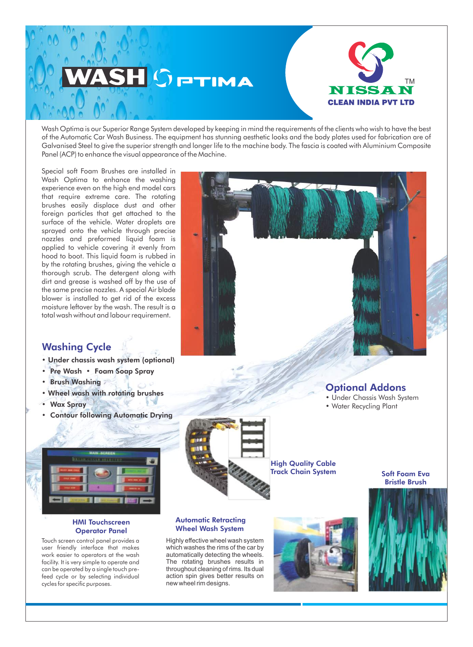

Wash Optima is our Superior Range System developed by keeping in mind the requirements of the clients who wish to have the best of the Automatic Car Wash Business. The equipment has stunning aesthetic looks and the body plates used for fabrication are of Galvanised Steel to give the superior strength and longer life to the machine body. The fascia is coated with Aluminium Composite Panel (ACP) to enhance the visual appearance of the Machine.

Special soft Foam Brushes are installed in Wash Optima to enhance the washing experience even on the high end model cars that require extreme care. The rotating brushes easily displace dust and other foreign particles that get attached to the surface of the vehicle. Water droplets are sprayed onto the vehicle through precise nozzles and preformed liquid foam is applied to vehicle covering it evenly from hood to boot. This liquid foam is rubbed in by the rotating brushes, giving the vehicle a thorough scrub. The detergent along with dirt and grease is washed off by the use of the same precise nozzles. A special Air blade blower is installed to get rid of the excess moisture leftover by the wash. The result is a total wash without and labour requirement.

## Washing Cycle

- Under chassis wash system (optional)
- Pre Wash Foam Soap Spray
- Brush Washing
- Wheel wash with rotating brushes
- **Wax Spray**
- **Contour following Automatic Drying**



### HMI Touchscreen Operator Panel

Touch screen control panel provides a user friendly interface that makes work easier to operators at the wash facility. It is very simple to operate and can be operated by a single touch prefeed cycle or by selecting individual cycles for specific purposes.



High Quality Cable Track Chain System

#### Soft Foam Eva Bristle Brush







- Under Chassis Wash System
- Water Recycling Plant

Automatic Retracting Wheel Wash System

Highly effective wheel wash system which washes the rims of the car by automatically detecting the wheels. The rotating brushes results in throughout cleaning of rims. Its dual action spin gives better results on new wheel rim designs.